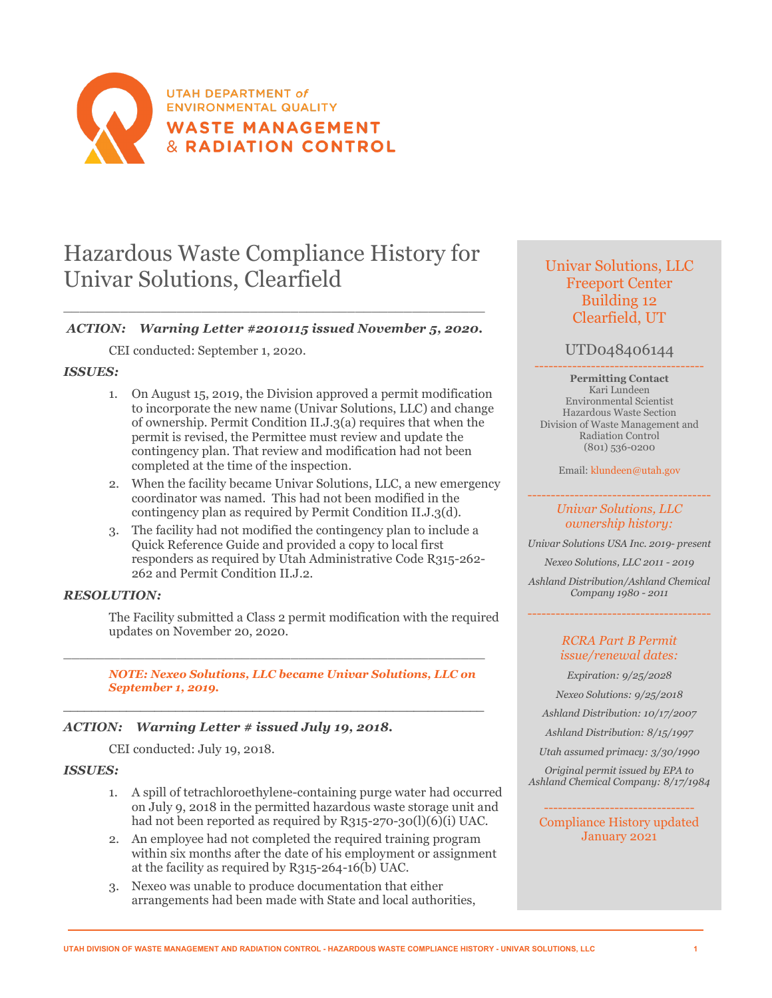

# Hazardous Waste Compliance History for Univar Solutions, Clearfield

# \_\_\_\_\_\_\_\_\_\_\_\_\_\_\_\_\_\_\_\_\_\_\_\_\_\_\_\_\_\_\_\_\_\_\_\_\_\_\_\_\_\_\_\_\_\_\_\_\_\_\_\_ *ACTION: Warning Letter #2010115 issued November 5, 2020.*

CEI conducted: September 1, 2020.

### *ISSUES:*

- 1. On August 15, 2019, the Division approved a permit modification to incorporate the new name (Univar Solutions, LLC) and change of ownership. Permit Condition II.J.3(a) requires that when the permit is revised, the Permittee must review and update the contingency plan. That review and modification had not been completed at the time of the inspection.
- 2. When the facility became Univar Solutions, LLC, a new emergency coordinator was named. This had not been modified in the contingency plan as required by Permit Condition II.J.3(d).
- 3. The facility had not modified the contingency plan to include a Quick Reference Guide and provided a copy to local first responders as required by Utah Administrative Code R315-262- 262 and Permit Condition II.J.2.

# *RESOLUTION:*

The Facility submitted a Class 2 permit modification with the required updates on November 20, 2020.

*NOTE: Nexeo Solutions, LLC became Univar Solutions, LLC on September 1, 2019.*

\_\_\_\_\_\_\_\_\_\_\_\_\_\_\_\_\_\_\_\_\_\_\_\_\_\_\_\_\_\_\_\_\_\_\_\_\_\_\_\_\_\_\_\_\_\_\_\_\_\_\_\_

\_\_\_\_\_\_\_\_\_\_\_\_\_\_\_\_\_\_\_\_\_\_\_\_\_\_\_\_\_\_\_\_\_\_\_\_\_\_\_\_\_\_\_\_\_\_\_\_\_\_\_\_\_\_\_\_\_\_\_\_

# *ACTION: Warning Letter # issued July 19, 2018.*

CEI conducted: July 19, 2018.

### *ISSUES:*

- 1. A spill of tetrachloroethylene-containing purge water had occurred on July 9, 2018 in the permitted hazardous waste storage unit and had not been reported as required by R315-270-30(l)(6)(i) UAC.
- 2. An employee had not completed the required training program within six months after the date of his employment or assignment at the facility as required by R315-264-16(b) UAC.
- 3. Nexeo was unable to produce documentation that either arrangements had been made with State and local authorities,

# Univar Solutions, LLC Freeport Center Building 12 Clearfield, UT

# UTD048406144

------------------------------------ **Permitting Contact** Kari Lundeen Environmental Scientist Hazardous Waste Section Division of Waste Management and Radiation Control (801) 536-0200

Email[: klundeen@utah.gov](mailto:klundeen@utah.gov)

#### --------------------------------------- *Univar Solutions, LLC ownership history:*

*Univar Solutions USA Inc. 2019- present*

*Nexeo Solutions, LLC 2011 - 2019*

*Ashland Distribution/Ashland Chemical Company 1980 - 2011*

---------------------------------------

#### *RCRA Part B Permit issue/renewal dates:*

*Expiration: 9/25/2028 Nexeo Solutions: 9/25/2018 Ashland Distribution: 10/17/2007 Ashland Distribution: 8/15/1997*

*Utah assumed primacy: 3/30/1990*

*Original permit issued by EPA to Ashland Chemical Company: 8/17/1984*

-------------------------------- Compliance History updated January 2021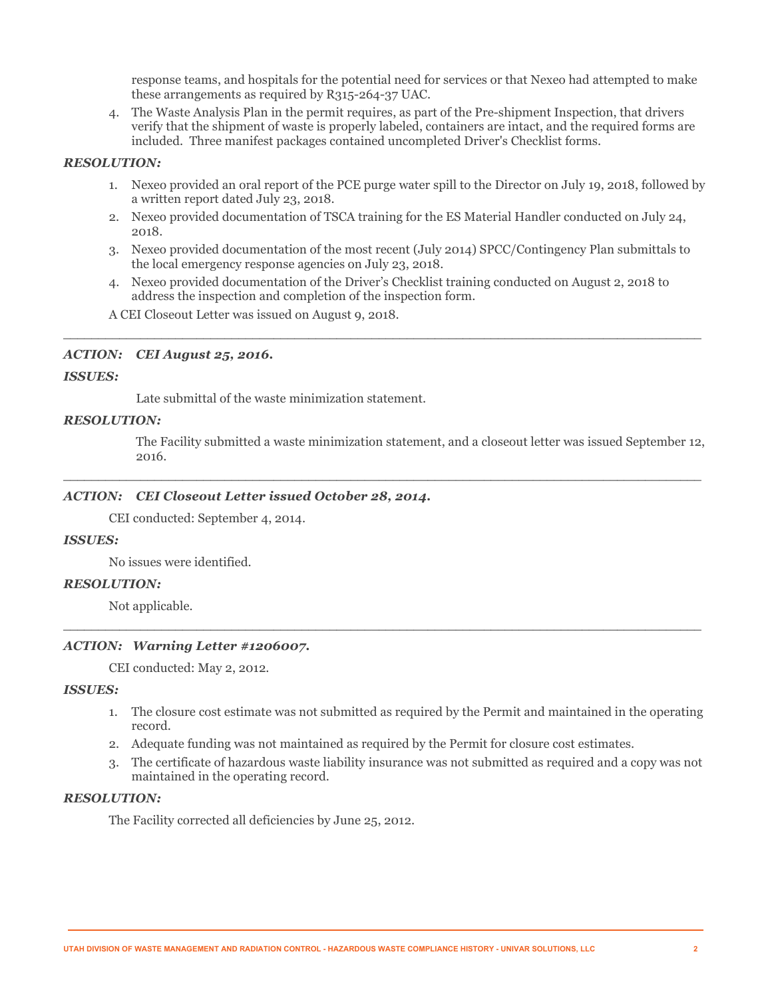response teams, and hospitals for the potential need for services or that Nexeo had attempted to make these arrangements as required by R315-264-37 UAC.

4. The Waste Analysis Plan in the permit requires, as part of the Pre-shipment Inspection, that drivers verify that the shipment of waste is properly labeled, containers are intact, and the required forms are included. Three manifest packages contained uncompleted Driver's Checklist forms.

#### *RESOLUTION:*

- 1. Nexeo provided an oral report of the PCE purge water spill to the Director on July 19, 2018, followed by a written report dated July 23, 2018.
- 2. Nexeo provided documentation of TSCA training for the ES Material Handler conducted on July 24, 2018.
- 3. Nexeo provided documentation of the most recent (July 2014) SPCC/Contingency Plan submittals to the local emergency response agencies on July 23, 2018.
- 4. Nexeo provided documentation of the Driver's Checklist training conducted on August 2, 2018 to address the inspection and completion of the inspection form.

\_\_\_\_\_\_\_\_\_\_\_\_\_\_\_\_\_\_\_\_\_\_\_\_\_\_\_\_\_\_\_\_\_\_\_\_\_\_\_\_\_\_\_\_\_\_\_\_\_\_\_\_\_\_\_\_\_\_\_\_\_\_\_\_\_\_\_\_\_\_\_\_\_\_\_\_\_\_\_\_\_\_\_\_\_\_\_\_\_\_\_

 $\_$  ,  $\_$  ,  $\_$  ,  $\_$  ,  $\_$  ,  $\_$  ,  $\_$  ,  $\_$  ,  $\_$  ,  $\_$  ,  $\_$  ,  $\_$  ,  $\_$  ,  $\_$  ,  $\_$  ,  $\_$  ,  $\_$  ,  $\_$  ,  $\_$  ,  $\_$  ,  $\_$  ,  $\_$  ,  $\_$  ,  $\_$  ,  $\_$  ,  $\_$  ,  $\_$  ,  $\_$  ,  $\_$  ,  $\_$  ,  $\_$  ,  $\_$  ,  $\_$  ,  $\_$  ,  $\_$  ,  $\_$  ,  $\_$  ,

 $\overline{\phantom{a}}$  ,  $\overline{\phantom{a}}$  ,  $\overline{\phantom{a}}$  ,  $\overline{\phantom{a}}$  ,  $\overline{\phantom{a}}$  ,  $\overline{\phantom{a}}$  ,  $\overline{\phantom{a}}$  ,  $\overline{\phantom{a}}$  ,  $\overline{\phantom{a}}$  ,  $\overline{\phantom{a}}$  ,  $\overline{\phantom{a}}$  ,  $\overline{\phantom{a}}$  ,  $\overline{\phantom{a}}$  ,  $\overline{\phantom{a}}$  ,  $\overline{\phantom{a}}$  ,  $\overline{\phantom{a}}$ 

A CEI Closeout Letter was issued on August 9, 2018.

#### *ACTION: CEI August 25, 2016.*

#### *ISSUES:*

Late submittal of the waste minimization statement.

#### *RESOLUTION:*

The Facility submitted a waste minimization statement, and a closeout letter was issued September 12, 2016.

# *ACTION: CEI Closeout Letter issued October 28, 2014.*

CEI conducted: September 4, 2014.

#### *ISSUES:*

No issues were identified.

#### *RESOLUTION:*

Not applicable.

#### *ACTION: Warning Letter #1206007.*

CEI conducted: May 2, 2012.

#### *ISSUES:*

- 1. The closure cost estimate was not submitted as required by the Permit and maintained in the operating record.
- 2. Adequate funding was not maintained as required by the Permit for closure cost estimates.
- 3. The certificate of hazardous waste liability insurance was not submitted as required and a copy was not maintained in the operating record.

# *RESOLUTION:*

The Facility corrected all deficiencies by June 25, 2012.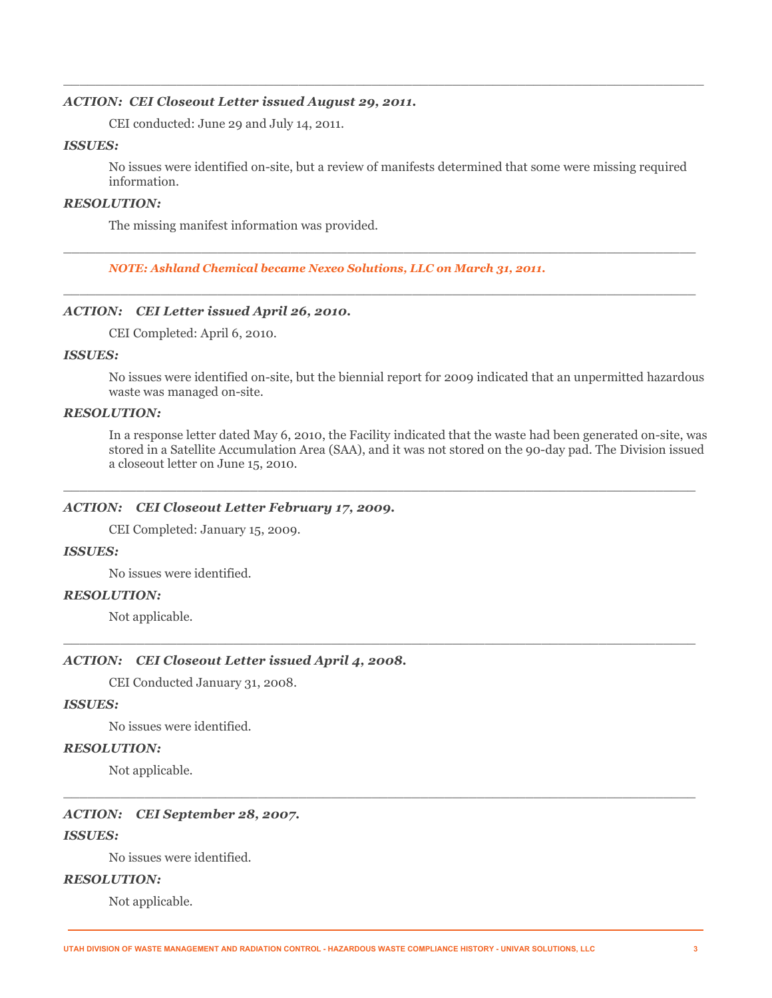#### *ACTION: CEI Closeout Letter issued August 29, 2011.*

CEI conducted: June 29 and July 14, 2011.

#### *ISSUES:*

No issues were identified on-site, but a review of manifests determined that some were missing required information.

\_\_\_\_\_\_\_\_\_\_\_\_\_\_\_\_\_\_\_\_\_\_\_\_\_\_\_\_\_\_\_\_\_\_\_\_\_\_\_\_\_\_\_\_\_\_\_\_\_\_\_\_\_\_\_\_\_\_\_\_\_\_\_\_\_\_\_\_\_\_\_\_\_\_\_\_\_\_

 $\_$  ,  $\_$  ,  $\_$  ,  $\_$  ,  $\_$  ,  $\_$  ,  $\_$  ,  $\_$  ,  $\_$  ,  $\_$  ,  $\_$  ,  $\_$  ,  $\_$  ,  $\_$  ,  $\_$  ,  $\_$  ,  $\_$  ,  $\_$  ,  $\_$  ,  $\_$  ,  $\_$  ,  $\_$  ,  $\_$  ,  $\_$  ,  $\_$  ,  $\_$  ,  $\_$  ,  $\_$  ,  $\_$  ,  $\_$  ,  $\_$  ,  $\_$  ,  $\_$  ,  $\_$  ,  $\_$  ,  $\_$  ,  $\_$  ,

\_\_\_\_\_\_\_\_\_\_\_\_\_\_\_\_\_\_\_\_\_\_\_\_\_\_\_\_\_\_\_\_\_\_\_\_\_\_\_\_\_\_\_\_\_\_\_\_\_\_\_\_\_\_\_\_\_\_\_\_\_\_\_\_\_\_\_\_\_\_\_\_\_\_\_\_\_\_\_

#### *RESOLUTION:*

The missing manifest information was provided.

*NOTE: Ashland Chemical became Nexeo Solutions, LLC on March 31, 2011.*

# *ACTION: CEI Letter issued April 26, 2010.*

CEI Completed: April 6, 2010.

#### *ISSUES:*

No issues were identified on-site, but the biennial report for 2009 indicated that an unpermitted hazardous waste was managed on-site.

#### *RESOLUTION:*

In a response letter dated May 6, 2010, the Facility indicated that the waste had been generated on-site, was stored in a Satellite Accumulation Area (SAA), and it was not stored on the 90-day pad. The Division issued a closeout letter on June 15, 2010.

 $\overline{\phantom{a}}$  , and the set of the set of the set of the set of the set of the set of the set of the set of the set of the set of the set of the set of the set of the set of the set of the set of the set of the set of the s

 $\overline{\phantom{a}}$  ,  $\overline{\phantom{a}}$  ,  $\overline{\phantom{a}}$  ,  $\overline{\phantom{a}}$  ,  $\overline{\phantom{a}}$  ,  $\overline{\phantom{a}}$  ,  $\overline{\phantom{a}}$  ,  $\overline{\phantom{a}}$  ,  $\overline{\phantom{a}}$  ,  $\overline{\phantom{a}}$  ,  $\overline{\phantom{a}}$  ,  $\overline{\phantom{a}}$  ,  $\overline{\phantom{a}}$  ,  $\overline{\phantom{a}}$  ,  $\overline{\phantom{a}}$  ,  $\overline{\phantom{a}}$ 

 $\overline{\phantom{a}}$  , and the set of the set of the set of the set of the set of the set of the set of the set of the set of the set of the set of the set of the set of the set of the set of the set of the set of the set of the s

#### *ACTION: CEI Closeout Letter February 17, 2009.*

CEI Completed: January 15, 2009.

### *ISSUES:*

No issues were identified.

#### *RESOLUTION:*

Not applicable.

# *ACTION: CEI Closeout Letter issued April 4, 2008.*

CEI Conducted January 31, 2008.

#### *ISSUES:*

No issues were identified.

#### *RESOLUTION:*

Not applicable.

#### *ACTION: CEI September 28, 2007.*

#### *ISSUES:*

No issues were identified.

### *RESOLUTION:*

Not applicable.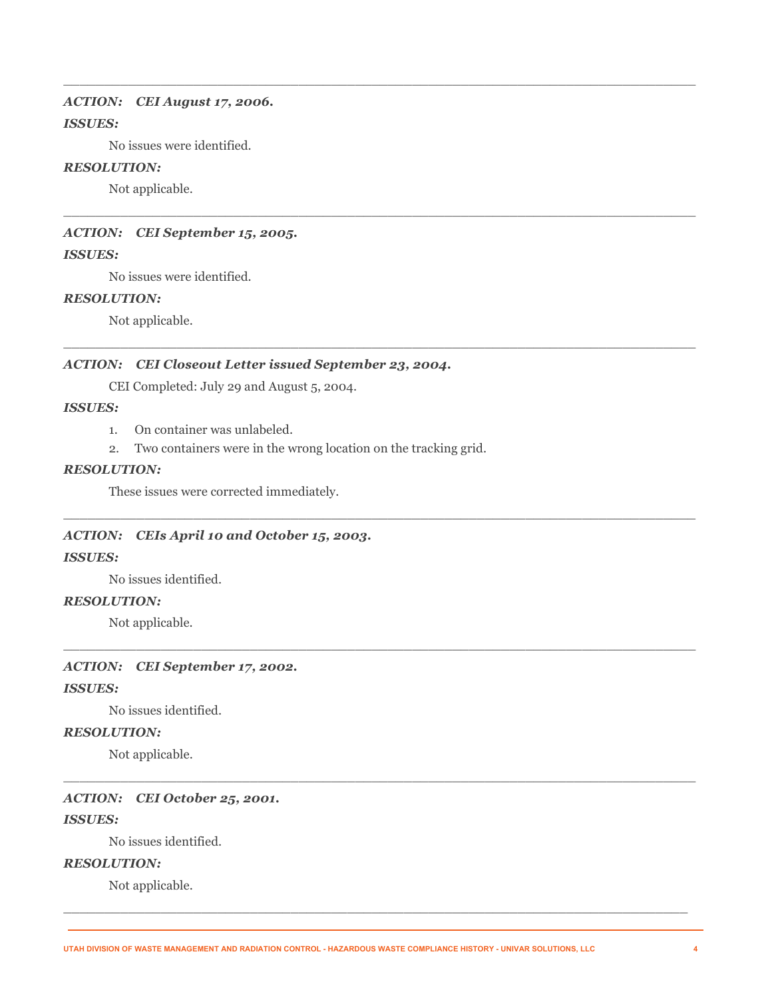#### *ACTION: CEI August 17, 2006.*

### *ISSUES:*

No issues were identified.

#### *RESOLUTION:*

Not applicable.

#### *ACTION: CEI September 15, 2005.*

#### *ISSUES:*

No issues were identified.

#### *RESOLUTION:*

Not applicable.

## *ACTION: CEI Closeout Letter issued September 23, 2004.*

CEI Completed: July 29 and August 5, 2004.

# *ISSUES:*

- 1. On container was unlabeled.
- 2. Two containers were in the wrong location on the tracking grid.

\_\_\_\_\_\_\_\_\_\_\_\_\_\_\_\_\_\_\_\_\_\_\_\_\_\_\_\_\_\_\_\_\_\_\_\_\_\_\_\_\_\_\_\_\_\_\_\_\_\_\_\_\_\_\_\_\_\_\_\_\_\_\_\_\_\_\_\_\_\_\_\_\_\_\_\_\_\_

 $\_$  ,  $\_$  ,  $\_$  ,  $\_$  ,  $\_$  ,  $\_$  ,  $\_$  ,  $\_$  ,  $\_$  ,  $\_$  ,  $\_$  ,  $\_$  ,  $\_$  ,  $\_$  ,  $\_$  ,  $\_$  ,  $\_$  ,  $\_$  ,  $\_$  ,  $\_$  ,  $\_$  ,  $\_$  ,  $\_$  ,  $\_$  ,  $\_$  ,  $\_$  ,  $\_$  ,  $\_$  ,  $\_$  ,  $\_$  ,  $\_$  ,  $\_$  ,  $\_$  ,  $\_$  ,  $\_$  ,  $\_$  ,  $\_$  ,

 $\_$  ,  $\_$  ,  $\_$  ,  $\_$  ,  $\_$  ,  $\_$  ,  $\_$  ,  $\_$  ,  $\_$  ,  $\_$  ,  $\_$  ,  $\_$  ,  $\_$  ,  $\_$  ,  $\_$  ,  $\_$  ,  $\_$  ,  $\_$  ,  $\_$  ,  $\_$  ,  $\_$  ,  $\_$  ,  $\_$  ,  $\_$  ,  $\_$  ,  $\_$  ,  $\_$  ,  $\_$  ,  $\_$  ,  $\_$  ,  $\_$  ,  $\_$  ,  $\_$  ,  $\_$  ,  $\_$  ,  $\_$  ,  $\_$  ,

\_\_\_\_\_\_\_\_\_\_\_\_\_\_\_\_\_\_\_\_\_\_\_\_\_\_\_\_\_\_\_\_\_\_\_\_\_\_\_\_\_\_\_\_\_\_\_\_\_\_\_\_\_\_\_\_\_\_\_\_\_\_\_\_\_\_\_\_\_\_\_\_\_\_\_\_\_\_

\_\_\_\_\_\_\_\_\_\_\_\_\_\_\_\_\_\_\_\_\_\_\_\_\_\_\_\_\_\_\_\_\_\_\_\_\_\_\_\_\_\_\_\_\_\_\_\_\_\_\_\_\_\_\_\_\_\_\_\_\_\_\_\_\_\_\_\_\_\_\_\_\_\_\_\_\_\_

 $\_$  ,  $\_$  ,  $\_$  ,  $\_$  ,  $\_$  ,  $\_$  ,  $\_$  ,  $\_$  ,  $\_$  ,  $\_$  ,  $\_$  ,  $\_$  ,  $\_$  ,  $\_$  ,  $\_$  ,  $\_$  ,  $\_$  ,  $\_$  ,  $\_$  ,  $\_$  ,  $\_$  ,  $\_$  ,  $\_$  ,  $\_$  ,  $\_$  ,  $\_$  ,  $\_$  ,  $\_$  ,  $\_$  ,  $\_$  ,  $\_$  ,  $\_$  ,  $\_$  ,  $\_$  ,  $\_$  ,  $\_$  ,  $\_$  ,

\_\_\_\_\_\_\_\_\_\_\_\_\_\_\_\_\_\_\_\_\_\_\_\_\_\_\_\_\_\_\_\_\_\_\_\_\_\_\_\_\_\_\_\_\_\_\_\_\_\_\_\_\_\_\_\_\_\_\_\_\_\_\_\_\_\_\_\_\_\_\_\_\_\_\_\_\_

#### *RESOLUTION:*

These issues were corrected immediately.

#### *ACTION: CEIs April 10 and October 15, 2003.*

#### *ISSUES:*

No issues identified.

### *RESOLUTION:*

Not applicable.

#### *ACTION: CEI September 17, 2002.*

#### *ISSUES:*

No issues identified.

#### *RESOLUTION:*

Not applicable.

#### *ACTION: CEI October 25, 2001.*

### *ISSUES:*

No issues identified.

# *RESOLUTION:*

Not applicable.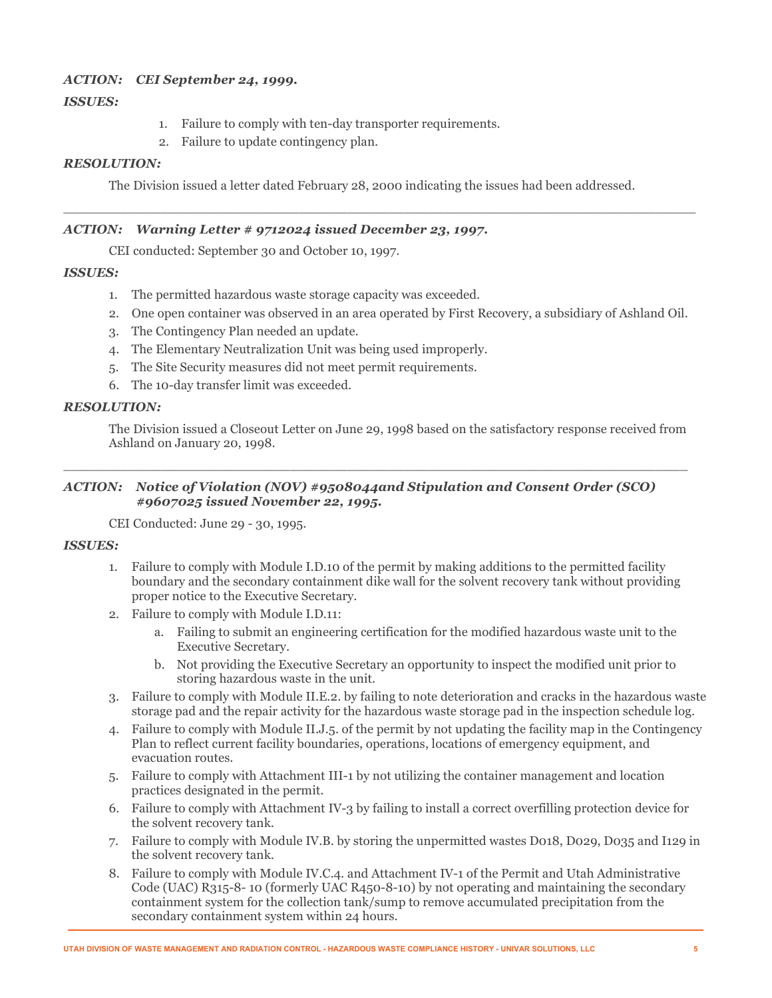# *ACTION: CEI September 24, 1999.*

# *ISSUES:*

- 1. Failure to comply with ten-day transporter requirements.
- 2. Failure to update contingency plan.

# *RESOLUTION:*

The Division issued a letter dated February 28, 2000 indicating the issues had been addressed.

 $\_$  , and the set of the set of the set of the set of the set of the set of the set of the set of the set of the set of the set of the set of the set of the set of the set of the set of the set of the set of the set of th

### *ACTION: Warning Letter # 9712024 issued December 23, 1997.*

CEI conducted: September 30 and October 10, 1997.

# *ISSUES:*

- 1. The permitted hazardous waste storage capacity was exceeded.
- 2. One open container was observed in an area operated by First Recovery, a subsidiary of Ashland Oil.
- 3. The Contingency Plan needed an update.
- 4. The Elementary Neutralization Unit was being used improperly.
- 5. The Site Security measures did not meet permit requirements.
- 6. The 10-day transfer limit was exceeded.

# *RESOLUTION:*

The Division issued a Closeout Letter on June 29, 1998 based on the satisfactory response received from Ashland on January 20, 1998.

# *ACTION: Notice of Violation (NOV) #9508044and Stipulation and Consent Order (SCO) #9607025 issued November 22, 1995.*

\_\_\_\_\_\_\_\_\_\_\_\_\_\_\_\_\_\_\_\_\_\_\_\_\_\_\_\_\_\_\_\_\_\_\_\_\_\_\_\_\_\_\_\_\_\_\_\_\_\_\_\_\_\_\_\_\_\_\_\_\_\_\_\_\_\_\_\_\_\_\_\_\_\_\_\_\_

CEI Conducted: June 29 - 30, 1995.

### *ISSUES:*

- 1. Failure to comply with Module I.D.10 of the permit by making additions to the permitted facility boundary and the secondary containment dike wall for the solvent recovery tank without providing proper notice to the Executive Secretary.
- 2. Failure to comply with Module I.D.11:
	- a. Failing to submit an engineering certification for the modified hazardous waste unit to the Executive Secretary.
	- b. Not providing the Executive Secretary an opportunity to inspect the modified unit prior to storing hazardous waste in the unit.
- 3. Failure to comply with Module II.E.2. by failing to note deterioration and cracks in the hazardous waste storage pad and the repair activity for the hazardous waste storage pad in the inspection schedule log.
- 4. Failure to comply with Module II.J.5. of the permit by not updating the facility map in the Contingency Plan to reflect current facility boundaries, operations, locations of emergency equipment, and evacuation routes.
- 5. Failure to comply with Attachment III-1 by not utilizing the container management and location practices designated in the permit.
- 6. Failure to comply with Attachment IV-3 by failing to install a correct overfilling protection device for the solvent recovery tank.
- 7. Failure to comply with Module IV.B. by storing the unpermitted wastes D018, D029, D035 and I129 in the solvent recovery tank.
- 8. Failure to comply with Module IV.C.4. and Attachment IV-1 of the Permit and Utah Administrative Code (UAC) R315-8- 10 (formerly UAC R450-8-10) by not operating and maintaining the secondary containment system for the collection tank/sump to remove accumulated precipitation from the secondary containment system within 24 hours.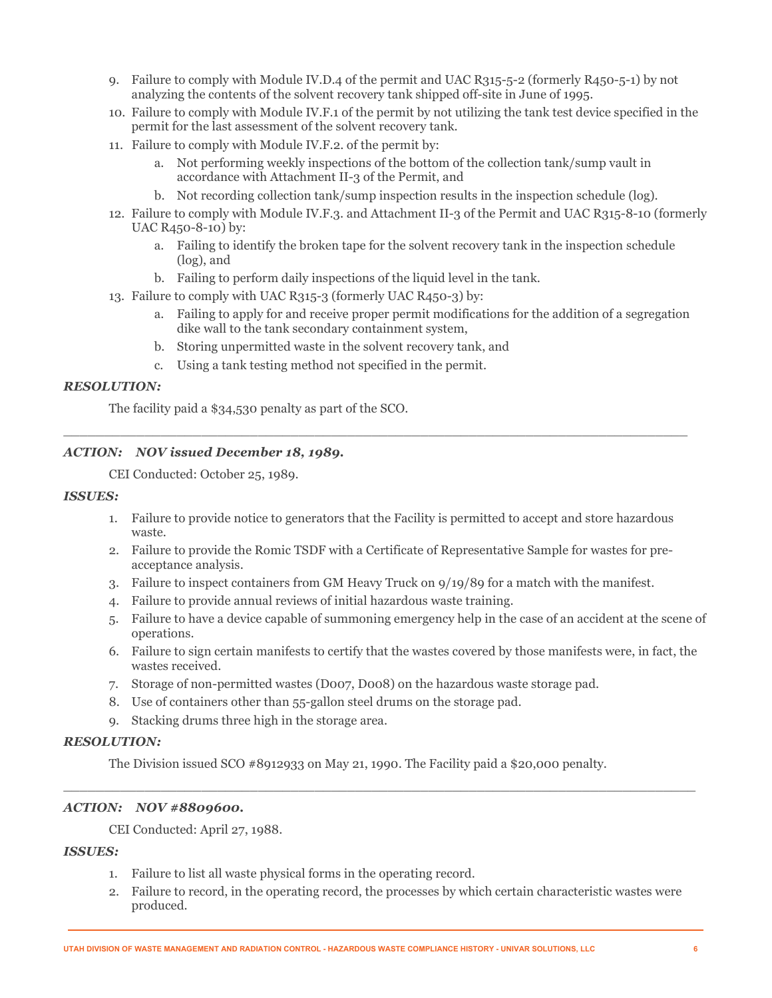- 9. Failure to comply with Module IV.D.4 of the permit and UAC R315-5-2 (formerly R450-5-1) by not analyzing the contents of the solvent recovery tank shipped off-site in June of 1995.
- 10. Failure to comply with Module IV.F.1 of the permit by not utilizing the tank test device specified in the permit for the last assessment of the solvent recovery tank.
- 11. Failure to comply with Module IV.F.2. of the permit by:
	- a. Not performing weekly inspections of the bottom of the collection tank/sump vault in accordance with Attachment II-3 of the Permit, and
	- b. Not recording collection tank/sump inspection results in the inspection schedule (log).
- 12. Failure to comply with Module IV.F.3. and Attachment II-3 of the Permit and UAC R315-8-10 (formerly UAC R450-8-10) by:
	- a. Failing to identify the broken tape for the solvent recovery tank in the inspection schedule (log), and
	- b. Failing to perform daily inspections of the liquid level in the tank.
- 13. Failure to comply with UAC R315-3 (formerly UAC R450-3) by:
	- a. Failing to apply for and receive proper permit modifications for the addition of a segregation dike wall to the tank secondary containment system,
	- b. Storing unpermitted waste in the solvent recovery tank, and
	- c. Using a tank testing method not specified in the permit.

#### *RESOLUTION:*

The facility paid a \$34,530 penalty as part of the SCO.

#### *ACTION: NOV issued December 18, 1989.*

CEI Conducted: October 25, 1989.

#### *ISSUES:*

1. Failure to provide notice to generators that the Facility is permitted to accept and store hazardous waste.

\_\_\_\_\_\_\_\_\_\_\_\_\_\_\_\_\_\_\_\_\_\_\_\_\_\_\_\_\_\_\_\_\_\_\_\_\_\_\_\_\_\_\_\_\_\_\_\_\_\_\_\_\_\_\_\_\_\_\_\_\_\_\_\_\_\_\_\_\_\_\_\_\_\_\_\_\_

- 2. Failure to provide the Romic TSDF with a Certificate of Representative Sample for wastes for preacceptance analysis.
- 3. Failure to inspect containers from GM Heavy Truck on 9/19/89 for a match with the manifest.
- 4. Failure to provide annual reviews of initial hazardous waste training.
- 5. Failure to have a device capable of summoning emergency help in the case of an accident at the scene of operations.
- 6. Failure to sign certain manifests to certify that the wastes covered by those manifests were, in fact, the wastes received.
- 7. Storage of non-permitted wastes (D007, D008) on the hazardous waste storage pad.
- 8. Use of containers other than 55-gallon steel drums on the storage pad.
- 9. Stacking drums three high in the storage area.

#### *RESOLUTION:*

The Division issued SCO #8912933 on May 21, 1990. The Facility paid a \$20,000 penalty.

 $\overline{\phantom{a}}$  , and the set of the set of the set of the set of the set of the set of the set of the set of the set of the set of the set of the set of the set of the set of the set of the set of the set of the set of the s

### *ACTION: NOV #8809600.*

CEI Conducted: April 27, 1988.

## *ISSUES:*

- 1. Failure to list all waste physical forms in the operating record.
- 2. Failure to record, in the operating record, the processes by which certain characteristic wastes were produced.